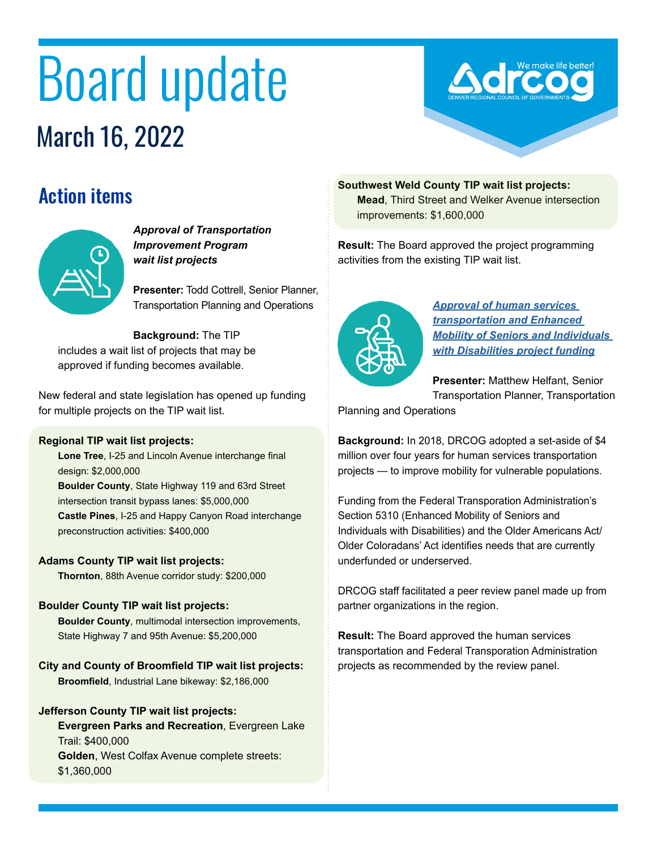# Board update March 16, 2022



# Action items



*Approval of Transportation Improvement Program wait list projects*

**Presenter:** Todd Cottrell, Senior Planner, Transportation Planning and Operations

**Background:** The TIP includes a wait list of projects that may be approved if funding becomes available.

New federal and state legislation has opened up funding for multiple projects on the TIP wait list.

#### **Regional TIP wait list projects:**

**Lone Tree**, I-25 and Lincoln Avenue interchange final design: \$2,000,000 **Boulder County**, State Highway 119 and 63rd Street intersection transit bypass lanes: \$5,000,000 **Castle Pines**, I-25 and Happy Canyon Road interchange preconstruction activities: \$400,000

#### **Adams County TIP wait list projects:**

**Thornton**, 88th Avenue corridor study: \$200,000

#### **Boulder County TIP wait list projects:**

**Boulder County**, multimodal intersection improvements, State Highway 7 and 95th Avenue: \$5,200,000

**City and County of Broomfield TIP wait list projects: Broomfield**, Industrial Lane bikeway: \$2,186,000

#### **Jefferson County TIP wait list projects:**

**Evergreen Parks and Recreation**, Evergreen Lake Trail: \$400,000 **Golden**, West Colfax Avenue complete streets: \$1,360,000

**Southwest Weld County TIP wait list projects: Mead**, Third Street and Welker Avenue intersection improvements: \$1,600,000

**Result:** The Board approved the project programming activities from the existing TIP wait list.



*[Approval of human services](https://drcog.org/sites/default/files/event-materials/March%2016%202022%20BOD%20Agenda.pdf#page=24)  [transportation and Enhanced](https://drcog.org/sites/default/files/event-materials/March%2016%202022%20BOD%20Agenda.pdf#page=24)  [Mobility of Seniors and Individuals](https://drcog.org/sites/default/files/event-materials/March%2016%202022%20BOD%20Agenda.pdf#page=24)  [with Disabilities project funding](https://drcog.org/sites/default/files/event-materials/March%2016%202022%20BOD%20Agenda.pdf#page=24)*

**Presenter:** Matthew Helfant, Senior Transportation Planner, Transportation

Planning and Operations

**Background:** In 2018, DRCOG adopted a set-aside of \$4 million over four years for human services transportation projects — to improve mobility for vulnerable populations.

Funding from the Federal Transporation Administration's Section 5310 (Enhanced Mobility of Seniors and Individuals with Disabilities) and the Older Americans Act/ Older Coloradans' Act identifies needs that are currently underfunded or underserved.

DRCOG staff facilitated a peer review panel made up from partner organizations in the region.

**Result:** The Board approved the human services transportation and Federal Transporation Administration projects as recommended by the review panel.